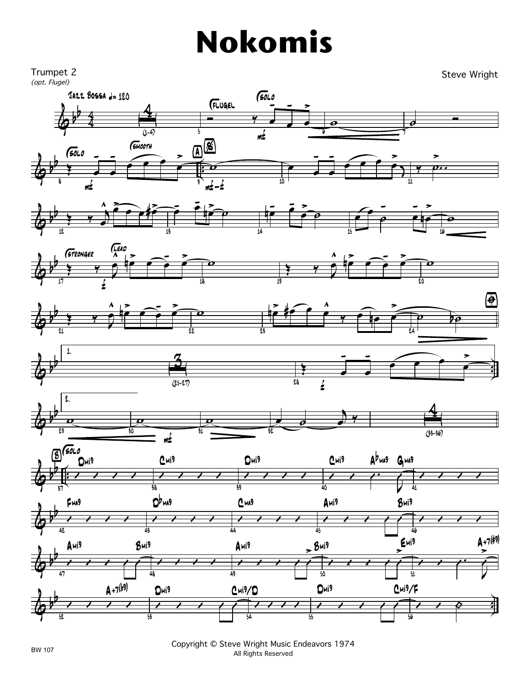## **Nokomis**



Copyright © Steve Wright Music Endeavors 1974 All Rights Reserved